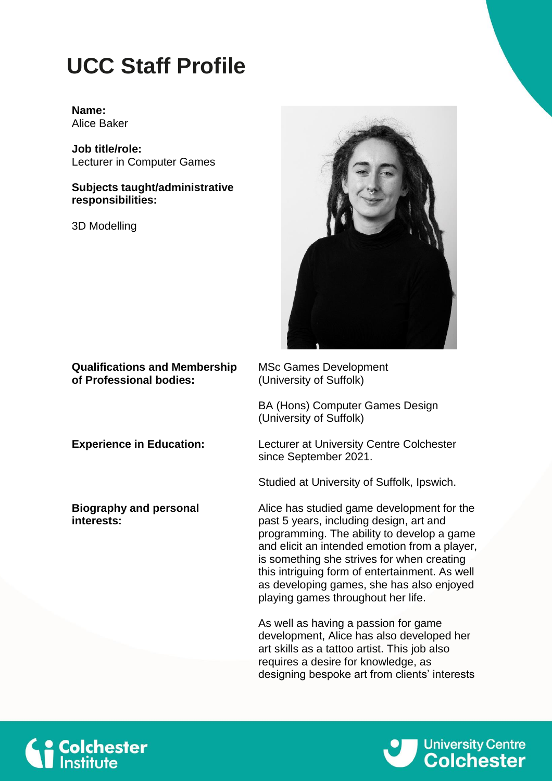## **UCC Staff Profile**

## **Name:** Alice Baker

**Job title/role:** Lecturer in Computer Games

**Subjects taught/administrative responsibilities:**

3D Modelling



**Qualifications and Membership of Professional bodies:**

**Biography and personal interests:**

MSc Games Development (University of Suffolk)

BA (Hons) Computer Games Design (University of Suffolk)

**Experience in Education:** Lecturer at University Centre Colchester since September 2021.

Studied at University of Suffolk, Ipswich.

Alice has studied game development for the past 5 years, including design, art and programming. The ability to develop a game and elicit an intended emotion from a player, is something she strives for when creating this intriguing form of entertainment. As well as developing games, she has also enjoyed playing games throughout her life.

As well as having a passion for game development, Alice has also developed her art skills as a tattoo artist. This job also requires a desire for knowledge, as designing bespoke art from clients' interests